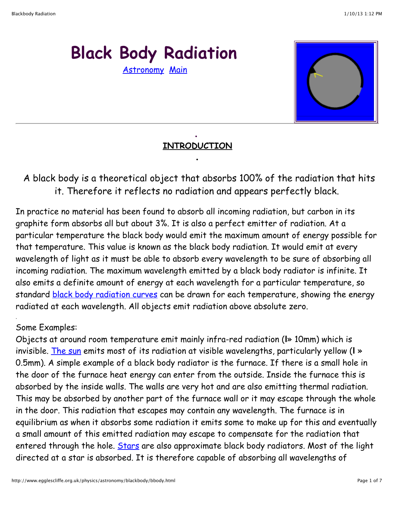# **Black Body Radiation** [Astronomy](http://www.egglescliffe.org.uk/physics/astronomy/astonomy.html) [Main](http://www.egglescliffe.org.uk/physics/main.html)



# **. INTRODUCTION .**

 A black body is a theoretical object that absorbs 100% of the radiation that hits it. Therefore it reflects no radiation and appears perfectly black.

In practice no material has been found to absorb all incoming radiation, but carbon in its graphite form absorbs all but about 3%. It is also a perfect emitter of radiation. At a particular temperature the black body would emit the maximum amount of energy possible for that temperature. This value is known as the black body radiation. It would emit at every wavelength of light as it must be able to absorb every wavelength to be sure of absorbing all incoming radiation. The maximum wavelength emitted by a black body radiator is infinite. It also emits a definite amount of energy at each wavelength for a particular temperature, so standard **black body radiation curves** can be drawn for each temperature, showing the energy radiated at each wavelength. All objects emit radiation above absolute zero.

### Some Examples:

.

Objects at around room temperature emit mainly infra-red radiation (**l**» 10mm) which is invisible. [The sun](http://www.egglescliffe.org.uk/physics/particles/sun/sun.html) emits most of its radiation at visible wavelengths, particularly yellow (**l** » 0.5mm). A simple example of a black body radiator is the furnace. If there is a small hole in the door of the furnace heat energy can enter from the outside. Inside the furnace this is absorbed by the inside walls. The walls are very hot and are also emitting thermal radiation. This may be absorbed by another part of the furnace wall or it may escape through the whole in the door. This radiation that escapes may contain any wavelength. The furnace is in equilibrium as when it absorbs some radiation it emits some to make up for this and eventually a small amount of this emitted radiation may escape to compensate for the radiation that entered through the hole. [Stars](http://www.egglescliffe.org.uk/physics/astronomy/starevolution/stellarevolution.html) are also approximate black body radiators. Most of the light directed at a star is absorbed. It is therefore capable of absorbing all wavelengths of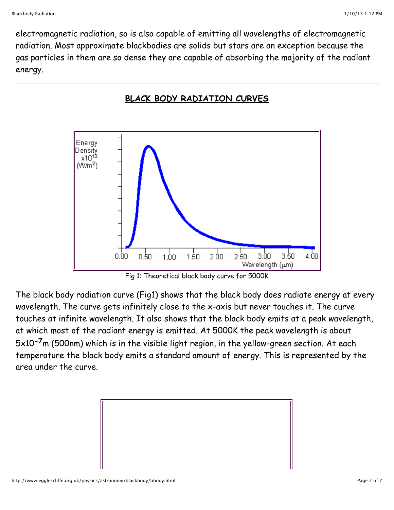electromagnetic radiation, so is also capable of emitting all wavelengths of electromagnetic radiation. Most approximate blackbodies are solids but stars are an exception because the gas particles in them are so dense they are capable of absorbing the majority of the radiant energy.





Fig 1: Theoretical black body curve for 5000K

The black body radiation curve (Fig1) shows that the black body does radiate energy at every wavelength. The curve gets infinitely close to the x-axis but never touches it. The curve touches at infinite wavelength. It also shows that the black body emits at a peak wavelength, at which most of the radiant energy is emitted. At 5000K the peak wavelength is about 5x10**-7**m (500nm) which is in the visible light region, in the yellow-green section. At each temperature the black body emits a standard amount of energy. This is represented by the area under the curve.

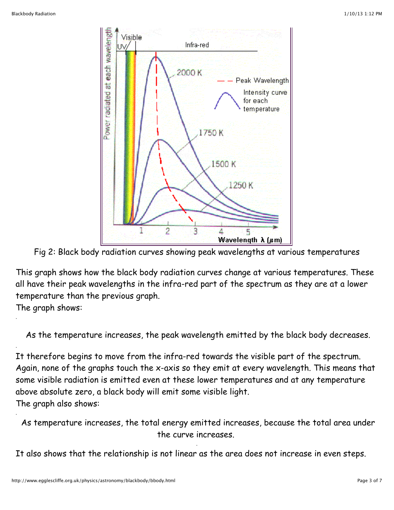

Fig 2: Black body radiation curves showing peak wavelengths at various temperatures

This graph shows how the black body radiation curves change at various temperatures. These all have their peak wavelengths in the infra-red part of the spectrum as they are at a lower temperature than the previous graph.

The graph shows:

.

.

.

As the temperature increases, the peak wavelength emitted by the black body decreases.

It therefore begins to move from the infra-red towards the visible part of the spectrum. Again, none of the graphs touch the x-axis so they emit at every wavelength. This means that some visible radiation is emitted even at these lower temperatures and at any temperature above absolute zero, a black body will emit some visible light. The graph also shows:

 As temperature increases, the total energy emitted increases, because the total area under the curve increases.

.

It also shows that the relationship is not linear as the area does not increase in even steps.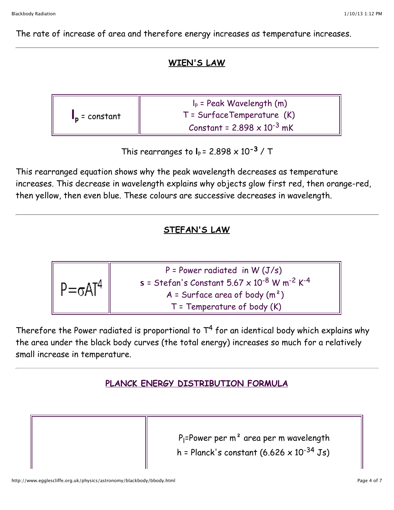The rate of increase of area and therefore energy increases as temperature increases.

#### **WIEN'S LAW**

| $\mathbf{I}_{\mathbf{p}}$ = constant | $I_p$ = Peak Wavelength (m)          |
|--------------------------------------|--------------------------------------|
|                                      | $T = SurfaceTemperature (K)$         |
|                                      | Constant = $2.898 \times 10^{-3}$ mK |

This rearranges to  $I_p = 2.898 \times 10^{-3}$  / T

This rearranged equation shows why the peak wavelength decreases as temperature increases. This decrease in wavelength explains why objects glow first red, then orange-red, then yellow, then even blue. These colours are successive decreases in wavelength.

## **STEFAN'S LAW**

| $\parallel$ P= $\sigma$ AT $^4$ | $P = Power \ radiated \ in W (J/s)$                         |
|---------------------------------|-------------------------------------------------------------|
|                                 | $s = 5tefan's Constant 5.67 \times 10^{-8} W m^{-2} K^{-4}$ |
|                                 | $A =$ Surface area of body $(m2)$                           |
|                                 | $T =$ Temperature of body $(K)$                             |

Therefore the Power radiated is proportional to  $T^4$  for an identical body which explains why the area under the black body curves (the total energy) increases so much for a relatively small increase in temperature.

### **PLANCK ENERGY DISTRIBUTION FORMULA**

P<sub>l</sub>=Power per m<sup>2</sup> area per m wavelength h = Planck's constant  $(6.626 \times 10^{-34} \text{ Js})$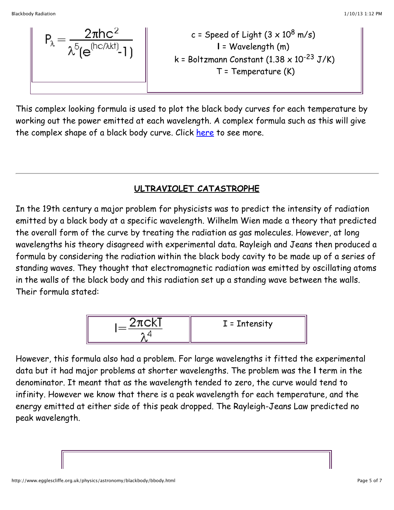$$
P_{\lambda} = \frac{2\pi hc^2}{\lambda^5 (e^{(hc/\lambda kt)}-1)}
$$
  

$$
k = Boltzmann Constant (1.38 × 10-23 J/K)
$$
T = Temperature (K)
$$
$$

This complex looking formula is used to plot the black body curves for each temperature by working out the power emitted at each wavelength. A complex formula such as this will give the complex shape of a black body curve. Click [here](http://www.egglescliffe.org.uk/physics/equations/planck/planck.html) to see more.

# **ULTRAVIOLET CATASTROPHE**

In the 19th century a major problem for physicists was to predict the intensity of radiation emitted by a black body at a specific wavelength. Wilhelm Wien made a theory that predicted the overall form of the curve by treating the radiation as gas molecules. However, at long wavelengths his theory disagreed with experimental data. Rayleigh and Jeans then produced a formula by considering the radiation within the black body cavity to be made up of a series of standing waves. They thought that electromagnetic radiation was emitted by oscillating atoms in the walls of the black body and this radiation set up a standing wave between the walls. Their formula stated:

$$
I = \frac{2\pi c kT}{\lambda^4}
$$
  $I = Intensity$ 

However, this formula also had a problem. For large wavelengths it fitted the experimental data but it had major problems at shorter wavelengths. The problem was the **l** term in the denominator. It meant that as the wavelength tended to zero, the curve would tend to infinity. However we know that there is a peak wavelength for each temperature, and the energy emitted at either side of this peak dropped. The Rayleigh-Jeans Law predicted no peak wavelength.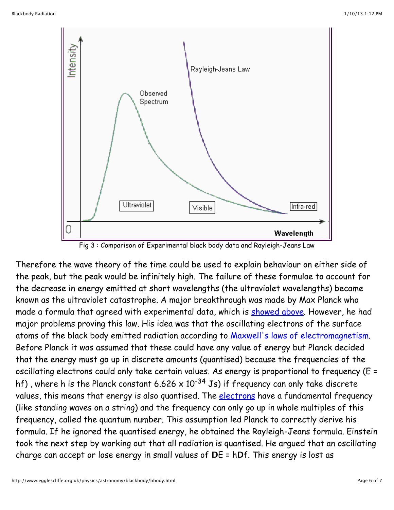

Fig 3 : Comparison of Experimental black body data and Rayleigh-Jeans Law

Therefore the wave theory of the time could be used to explain behaviour on either side of the peak, but the peak would be infinitely high. The failure of these formulae to account for the decrease in energy emitted at short wavelengths (the ultraviolet wavelengths) became known as the ultraviolet catastrophe. A major breakthrough was made by Max Planck who made a formula that agreed with experimental data, which is [showed above](http://www.egglescliffe.org.uk/physics/astronomy/blackbody/bbody.html#planck). However, he had major problems proving this law. His idea was that the oscillating electrons of the surface atoms of the black body emitted radiation according to [Maxwell's laws of electromagnetism](http://www.egglescliffe.org.uk/physics/equations/maxwell/maxwell.html). Before Planck it was assumed that these could have any value of energy but Planck decided that the energy must go up in discrete amounts (quantised) because the frequencies of the oscillating electrons could only take certain values. As energy is proportional to frequency (E = hf), where h is the Planck constant 6.626 x 10<sup>-34</sup> Js) if frequency can only take discrete values, this means that energy is also quantised. The *electrons* have a fundamental frequency (like standing waves on a string) and the frequency can only go up in whole multiples of this frequency, called the quantum number. This assumption led Planck to correctly derive his formula. If he ignored the quantised energy, he obtained the Rayleigh-Jeans formula. Einstein took the next step by working out that all radiation is quantised. He argued that an oscillating charge can accept or lose energy in small values of **D**E = h**D**f. This energy is lost as